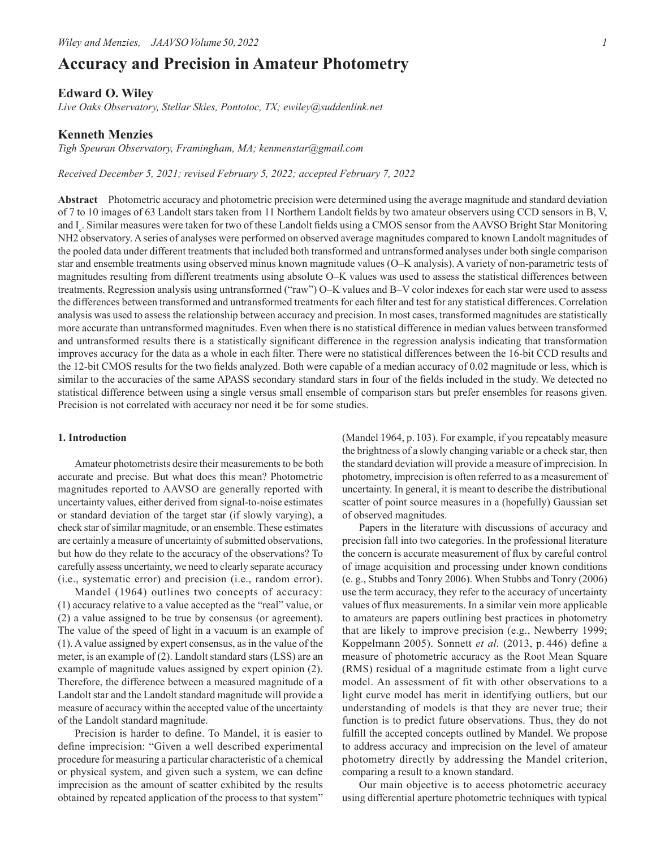# **Accuracy and Precision in Amateur Photometry**

# **Edward O. Wiley**

*Live Oaks Observatory, Stellar Skies, Pontotoc, TX; ewiley@suddenlink.net*

# **Kenneth Menzies**

*Tigh Speuran Observatory, Framingham, MA; kenmenstar@gmail.com*

*Received December 5, 2021; revised February 5, 2022; accepted February 7, 2022*

**Abstract** Photometric accuracy and photometric precision were determined using the average magnitude and standard deviation of 7 to 10 images of 63 Landolt stars taken from 11 Northern Landolt fields by two amateur observers using CCD sensors in B, V, and I<sub>c</sub>. Similar measures were taken for two of these Landolt fields using a CMOS sensor from the AAVSO Bright Star Monitoring NH2 observatory. A series of analyses were performed on observed average magnitudes compared to known Landolt magnitudes of the pooled data under different treatments that included both transformed and untransformed analyses under both single comparison star and ensemble treatments using observed minus known magnitude values (O–K analysis). A variety of non-parametric tests of magnitudes resulting from different treatments using absolute O–K values was used to assess the statistical differences between treatments. Regression analysis using untransformed ("raw") O–K values and B–V color indexes for each star were used to assess the differences between transformed and untransformed treatments for each filter and test for any statistical differences. Correlation analysis was used to assess the relationship between accuracy and precision. In most cases, transformed magnitudes are statistically more accurate than untransformed magnitudes. Even when there is no statistical difference in median values between transformed and untransformed results there is a statistically significant difference in the regression analysis indicating that transformation improves accuracy for the data as a whole in each filter. There were no statistical differences between the 16-bit CCD results and the 12-bit CMOS results for the two fields analyzed. Both were capable of a median accuracy of 0.02 magnitude or less, which is similar to the accuracies of the same APASS secondary standard stars in four of the fields included in the study. We detected no statistical difference between using a single versus small ensemble of comparison stars but prefer ensembles for reasons given. Precision is not correlated with accuracy nor need it be for some studies.

#### **1. Introduction**

Amateur photometrists desire their measurements to be both accurate and precise. But what does this mean? Photometric magnitudes reported to AAVSO are generally reported with uncertainty values, either derived from signal-to-noise estimates or standard deviation of the target star (if slowly varying), a check star of similar magnitude, or an ensemble. These estimates are certainly a measure of uncertainty of submitted observations, but how do they relate to the accuracy of the observations? To carefully assess uncertainty, we need to clearly separate accuracy (i.e., systematic error) and precision (i.e., random error).

Mandel (1964) outlines two concepts of accuracy: (1) accuracy relative to a value accepted as the "real" value, or (2) a value assigned to be true by consensus (or agreement). The value of the speed of light in a vacuum is an example of (1). A value assigned by expert consensus, as in the value of the meter, is an example of (2). Landolt standard stars (LSS) are an example of magnitude values assigned by expert opinion (2). Therefore, the difference between a measured magnitude of a Landolt star and the Landolt standard magnitude will provide a measure of accuracy within the accepted value of the uncertainty of the Landolt standard magnitude.

Precision is harder to define. To Mandel, it is easier to define imprecision: "Given a well described experimental procedure for measuring a particular characteristic of a chemical or physical system, and given such a system, we can define imprecision as the amount of scatter exhibited by the results obtained by repeated application of the process to that system" (Mandel 1964, p.103). For example, if you repeatably measure the brightness of a slowly changing variable or a check star, then the standard deviation will provide a measure of imprecision. In photometry, imprecision is often referred to as a measurement of uncertainty. In general, it is meant to describe the distributional scatter of point source measures in a (hopefully) Gaussian set of observed magnitudes.

Papers in the literature with discussions of accuracy and precision fall into two categories. In the professional literature the concern is accurate measurement of flux by careful control of image acquisition and processing under known conditions (e. g., Stubbs and Tonry 2006). When Stubbs and Tonry (2006) use the term accuracy, they refer to the accuracy of uncertainty values of flux measurements. In a similar vein more applicable to amateurs are papers outlining best practices in photometry that are likely to improve precision (e.g., Newberry 1999; Koppelmann 2005). Sonnett *et al.* (2013, p. 446) define a measure of photometric accuracy as the Root Mean Square (RMS) residual of a magnitude estimate from a light curve model. An assessment of fit with other observations to a light curve model has merit in identifying outliers, but our understanding of models is that they are never true; their function is to predict future observations. Thus, they do not fulfill the accepted concepts outlined by Mandel. We propose to address accuracy and imprecision on the level of amateur photometry directly by addressing the Mandel criterion, comparing a result to a known standard.

Our main objective is to access photometric accuracy using differential aperture photometric techniques with typical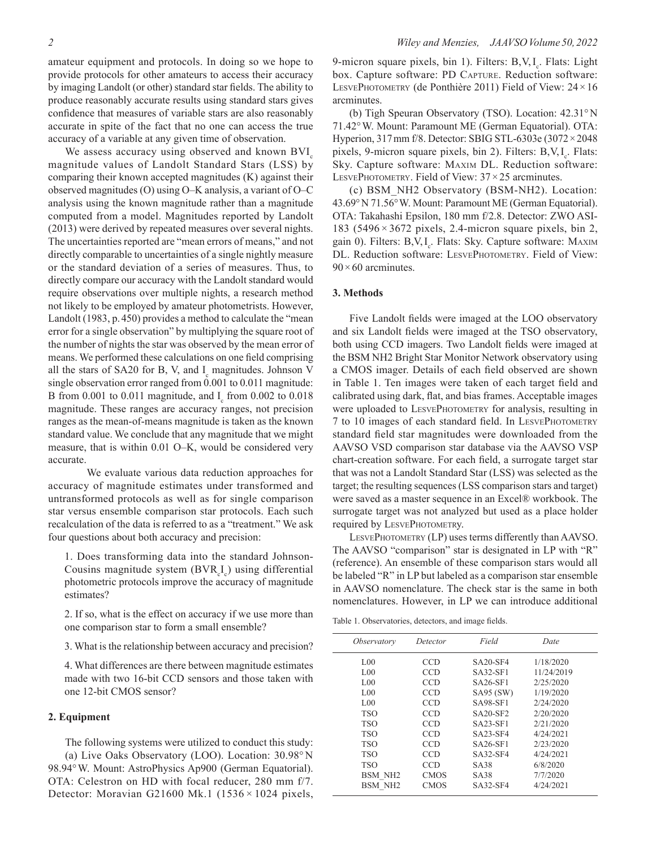amateur equipment and protocols. In doing so we hope to provide protocols for other amateurs to access their accuracy by imaging Landolt (or other) standard star fields. The ability to produce reasonably accurate results using standard stars gives confidence that measures of variable stars are also reasonably accurate in spite of the fact that no one can access the true accuracy of a variable at any given time of observation.

We assess accuracy using observed and known BVI<sub>c</sub> magnitude values of Landolt Standard Stars (LSS) by comparing their known accepted magnitudes (K) against their observed magnitudes (O) using O–K analysis, a variant of O–C analysis using the known magnitude rather than a magnitude computed from a model. Magnitudes reported by Landolt (2013) were derived by repeated measures over several nights. The uncertainties reported are "mean errors of means," and not directly comparable to uncertainties of a single nightly measure or the standard deviation of a series of measures. Thus, to directly compare our accuracy with the Landolt standard would require observations over multiple nights, a research method not likely to be employed by amateur photometrists. However, Landolt (1983, p.450) provides a method to calculate the "mean error for a single observation" by multiplying the square root of the number of nights the star was observed by the mean error of means. We performed these calculations on one field comprising all the stars of SA20 for B, V, and  $I_c$  magnitudes. Johnson V single observation error ranged from 0.001 to 0.011 magnitude: B from  $0.001$  to  $0.011$  magnitude, and  $I_c$  from  $0.002$  to  $0.018$ magnitude. These ranges are accuracy ranges, not precision ranges as the mean-of-means magnitude is taken as the known standard value. We conclude that any magnitude that we might measure, that is within 0.01 O–K, would be considered very accurate.

We evaluate various data reduction approaches for accuracy of magnitude estimates under transformed and untransformed protocols as well as for single comparison star versus ensemble comparison star protocols. Each such recalculation of the data is referred to as a "treatment." We ask four questions about both accuracy and precision:

1. Does transforming data into the standard Johnson-Cousins magnitude system  $(BVR<sub>c</sub>I<sub>c</sub>)$  using differential photometric protocols improve the accuracy of magnitude estimates?

2. If so, what is the effect on accuracy if we use more than one comparison star to form a small ensemble?

3. What is the relationship between accuracy and precision?

4. What differences are there between magnitude estimates made with two 16-bit CCD sensors and those taken with one 12-bit CMOS sensor?

### **2. Equipment**

The following systems were utilized to conduct this study: (a) Live Oaks Observatory (LOO). Location: 30.98°N 98.94°W. Mount: AstroPhysics Ap900 (German Equatorial). OTA: Celestron on HD with focal reducer, 280 mm f/7. Detector: Moravian G21600 Mk.1 (1536 $\times$ 1024 pixels,

9-micron square pixels, bin 1). Filters: B,V,I<sub>c</sub>. Flats: Light box. Capture software: PD CAPTURE. Reduction software: LESVEPHOTOMETRY (de Ponthière 2011) Field of View:  $24 \times 16$ arcminutes.

(b) Tigh Speuran Observatory (TSO). Location: 42.31°N 71.42°W. Mount: Paramount ME (German Equatorial). OTA: Hyperion, 317mm f/8. Detector: SBIG STL-6303e (3072×2048 pixels, 9-micron square pixels, bin 2). Filters: B,V,I<sub>c</sub>. Flats: Sky. Capture software: Maxim DL. Reduction software: LESVEPHOTOMETRY. Field of View:  $37 \times 25$  arcminutes.

(c) BSM\_NH2 Observatory (BSM-NH2). Location: 43.69°N 71.56°W. Mount: Paramount ME (German Equatorial). OTA: Takahashi Epsilon, 180 mm f/2.8. Detector: ZWO ASI-183 (5496 $\times$ 3672 pixels, 2.4-micron square pixels, bin 2, gain 0). Filters: B,V, I<sub>c</sub>. Flats: Sky. Capture software: MAXIM DL. Reduction software: LESVEPHOTOMETRY. Field of View:  $90 \times 60$  arcminutes.

#### **3. Methods**

Five Landolt fields were imaged at the LOO observatory and six Landolt fields were imaged at the TSO observatory, both using CCD imagers. Two Landolt fields were imaged at the BSM NH2 Bright Star Monitor Network observatory using a CMOS imager. Details of each field observed are shown in Table 1. Ten images were taken of each target field and calibrated using dark, flat, and bias frames. Acceptable images were uploaded to LESVEPHOTOMETRY for analysis, resulting in 7 to 10 images of each standard field. In LesvePhotometry standard field star magnitudes were downloaded from the AAVSO VSD comparison star database via the AAVSO VSP chart-creation software. For each field, a surrogate target star that was not a Landolt Standard Star (LSS) was selected as the target; the resulting sequences (LSS comparison stars and target) were saved as a master sequence in an Excel® workbook. The surrogate target was not analyzed but used as a place holder required by LESVEPHOTOMETRY.

LESVEPHOTOMETRY (LP) uses terms differently than AAVSO. The AAVSO "comparison" star is designated in LP with "R" (reference). An ensemble of these comparison stars would all be labeled "R" in LP but labeled as a comparison star ensemble in AAVSO nomenclature. The check star is the same in both nomenclatures. However, in LP we can introduce additional

Table 1. Observatories, detectors, and image fields.

| <i>Observatory</i>  | Detector    | Field      | Date       |
|---------------------|-------------|------------|------------|
| 1.00                | CCD         | $SA20-SF4$ | 1/18/2020  |
| 1.00                | <b>CCD</b>  | SA32-SF1   | 11/24/2019 |
| 1.00                | <b>CCD</b>  | SA26-SF1   | 2/25/2020  |
| 1.00                | <b>CCD</b>  | SA95 (SW)  | 1/19/2020  |
| 1.00                | <b>CCD</b>  | SA98-SF1   | 2/24/2020  |
| <b>TSO</b>          | <b>CCD</b>  | SA20-SF2   | 2/20/2020  |
| <b>TSO</b>          | <b>CCD</b>  | SA23-SF1   | 2/21/2020  |
| <b>TSO</b>          | <b>CCD</b>  | $SA23-SF4$ | 4/24/2021  |
| <b>TSO</b>          | <b>CCD</b>  | SA26-SF1   | 2/23/2020  |
| <b>TSO</b>          | CCD         | SA32-SF4   | 4/24/2021  |
| <b>TSO</b>          | <b>CCD</b>  | SA38       | 6/8/2020   |
| BSM NH <sub>2</sub> | <b>CMOS</b> | SA38       | 7/7/2020   |
| BSM NH <sub>2</sub> | <b>CMOS</b> | SA32-SF4   | 4/24/2021  |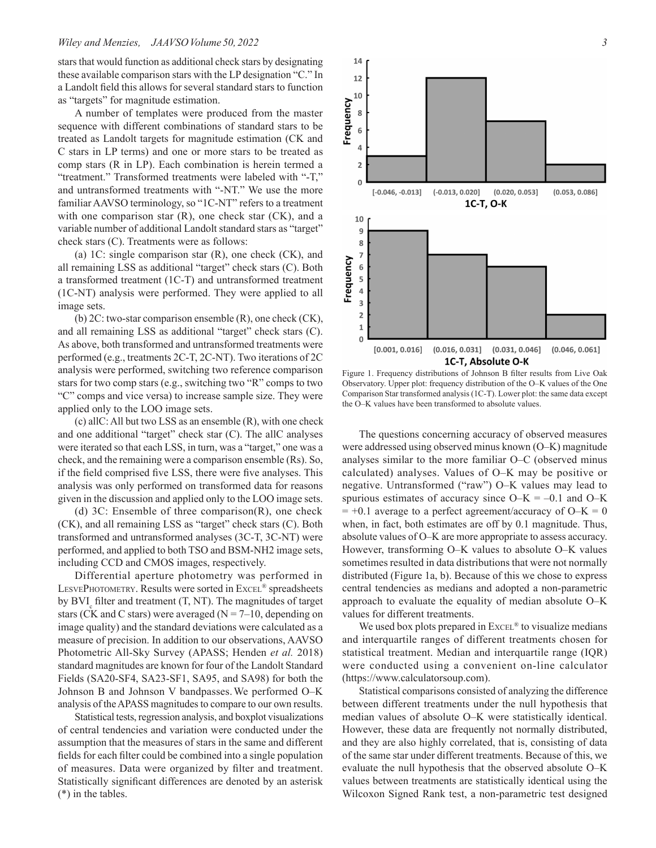stars that would function as additional check stars by designating these available comparison stars with the LP designation "C." In a Landolt field this allows for several standard stars to function as "targets" for magnitude estimation.

A number of templates were produced from the master sequence with different combinations of standard stars to be treated as Landolt targets for magnitude estimation (CK and C stars in LP terms) and one or more stars to be treated as comp stars (R in LP). Each combination is herein termed a "treatment." Transformed treatments were labeled with "-T," and untransformed treatments with "-NT." We use the more familiar AAVSO terminology, so "1C-NT" refers to a treatment with one comparison star  $(R)$ , one check star  $(CK)$ , and a variable number of additional Landolt standard stars as "target" check stars (C). Treatments were as follows:

(a) 1C: single comparison star (R), one check (CK), and all remaining LSS as additional "target" check stars (C). Both a transformed treatment (1C-T) and untransformed treatment (1C-NT) analysis were performed. They were applied to all image sets.

(b) 2C: two-star comparison ensemble (R), one check (CK), and all remaining LSS as additional "target" check stars (C). As above, both transformed and untransformed treatments were performed (e.g., treatments 2C-T, 2C-NT). Two iterations of 2C analysis were performed, switching two reference comparison stars for two comp stars (e.g., switching two "R" comps to two "C" comps and vice versa) to increase sample size. They were applied only to the LOO image sets.

(c) allC: All but two LSS as an ensemble (R), with one check and one additional "target" check star (C). The allC analyses were iterated so that each LSS, in turn, was a "target," one was a check, and the remaining were a comparison ensemble (Rs). So, if the field comprised five LSS, there were five analyses. This analysis was only performed on transformed data for reasons given in the discussion and applied only to the LOO image sets.

(d) 3C: Ensemble of three comparison(R), one check (CK), and all remaining LSS as "target" check stars (C). Both transformed and untransformed analyses (3C-T, 3C-NT) were performed, and applied to both TSO and BSM-NH2 image sets, including CCD and CMOS images, respectively.

Differential aperture photometry was performed in LESVEPHOTOMETRY. Results were sorted in Excel® spreadsheets by  $BVI_c$  filter and treatment  $(T, NT)$ . The magnitudes of target stars (CK and C stars) were averaged ( $N = 7-10$ , depending on image quality) and the standard deviations were calculated as a measure of precision. In addition to our observations, AAVSO Photometric All-Sky Survey (APASS; Henden *et al.* 2018) standard magnitudes are known for four of the Landolt Standard Fields (SA20-SF4, SA23-SF1, SA95, and SA98) for both the Johnson B and Johnson V bandpasses.We performed O–K analysis of the APASS magnitudes to compare to our own results.

Statistical tests, regression analysis, and boxplot visualizations of central tendencies and variation were conducted under the assumption that the measures of stars in the same and different fields for each filter could be combined into a single population of measures. Data were organized by filter and treatment. Statistically significant differences are denoted by an asterisk (\*) in the tables.



Figure 1. Frequency distributions of Johnson B filter results from Live Oak Observatory. Upper plot: frequency distribution of the O–K values of the One Comparison Star transformed analysis (1C-T). Lower plot: the same data except the O–K values have been transformed to absolute values.

The questions concerning accuracy of observed measures were addressed using observed minus known (O–K) magnitude analyses similar to the more familiar O–C (observed minus calculated) analyses. Values of O–K may be positive or negative. Untransformed ("raw") O–K values may lead to spurious estimates of accuracy since  $O-K = -0.1$  and  $O-K$  $= +0.1$  average to a perfect agreement/accuracy of O–K = 0 when, in fact, both estimates are off by 0.1 magnitude. Thus, absolute values of O–K are more appropriate to assess accuracy. However, transforming O–K values to absolute O–K values sometimes resulted in data distributions that were not normally distributed (Figure 1a, b). Because of this we chose to express central tendencies as medians and adopted a non-parametric approach to evaluate the equality of median absolute O–K values for different treatments.

We used box plots prepared in  $\text{EXEC}^{\circledast}$  to visualize medians and interquartile ranges of different treatments chosen for statistical treatment. Median and interquartile range (IQR) were conducted using a convenient on-line calculator (https://www.calculatorsoup.com).

Statistical comparisons consisted of analyzing the difference between different treatments under the null hypothesis that median values of absolute O–K were statistically identical. However, these data are frequently not normally distributed, and they are also highly correlated, that is, consisting of data of the same star under different treatments. Because of this, we evaluate the null hypothesis that the observed absolute O–K values between treatments are statistically identical using the Wilcoxon Signed Rank test, a non-parametric test designed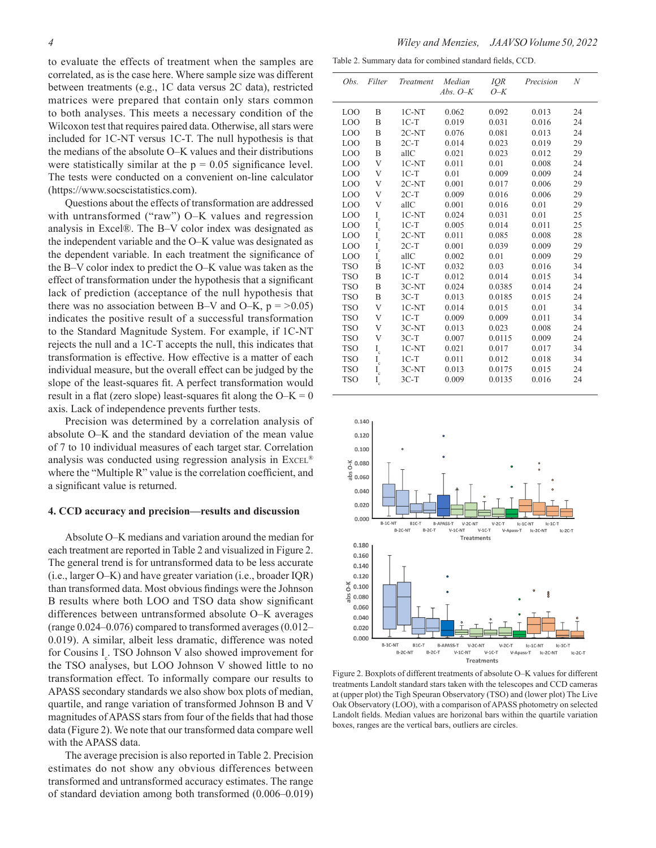to evaluate the effects of treatment when the samples are correlated, as is the case here. Where sample size was different between treatments (e.g., 1C data versus 2C data), restricted matrices were prepared that contain only stars common to both analyses. This meets a necessary condition of the Wilcoxon test that requires paired data. Otherwise, all stars were included for 1C-NT versus 1C-T. The null hypothesis is that the medians of the absolute O–K values and their distributions were statistically similar at the  $p = 0.05$  significance level. The tests were conducted on a convenient on-line calculator (https://www.socscistatistics.com).

Questions about the effects of transformation are addressed with untransformed ("raw") O–K values and regression analysis in Excel®. The B–V color index was designated as the independent variable and the O–K value was designated as the dependent variable. In each treatment the significance of the B–V color index to predict the O–K value was taken as the effect of transformation under the hypothesis that a significant lack of prediction (acceptance of the null hypothesis that there was no association between B–V and O–K,  $p = >0.05$ ) indicates the positive result of a successful transformation to the Standard Magnitude System. For example, if 1C-NT rejects the null and a 1C-T accepts the null, this indicates that transformation is effective. How effective is a matter of each individual measure, but the overall effect can be judged by the slope of the least-squares fit. A perfect transformation would result in a flat (zero slope) least-squares fit along the  $O-K = 0$ axis. Lack of independence prevents further tests.

Precision was determined by a correlation analysis of absolute O–K and the standard deviation of the mean value of 7 to 10 individual measures of each target star. Correlation analysis was conducted using regression analysis in Excel® where the "Multiple R" value is the correlation coefficient, and a significant value is returned.

# **4. CCD accuracy and precision—results and discussion**

Absolute O–K medians and variation around the median for each treatment are reported in Table 2 and visualized in Figure 2. The general trend is for untransformed data to be less accurate (i.e., larger O–K) and have greater variation (i.e., broader IQR) than transformed data. Most obvious findings were the Johnson B results where both LOO and TSO data show significant differences between untransformed absolute O–K averages (range 0.024–0.076) compared to transformed averages (0.012– 0.019). A similar, albeit less dramatic, difference was noted for Cousins  $I_c$ . TSO Johnson V also showed improvement for the TSO analyses, but LOO Johnson V showed little to no transformation effect. To informally compare our results to APASS secondary standards we also show box plots of median, quartile, and range variation of transformed Johnson B and V magnitudes of APASS stars from four of the fields that had those data (Figure 2). We note that our transformed data compare well with the APASS data.

The average precision is also reported in Table 2. Precision estimates do not show any obvious differences between transformed and untransformed accuracy estimates. The range of standard deviation among both transformed (0.006–0.019)

Table 2. Summary data for combined standard fields, CCD.

| Obs.            | Filter                | Treatment | Median     | <b>IOR</b> | Precision | N  |
|-----------------|-----------------------|-----------|------------|------------|-----------|----|
|                 |                       |           | Abs. $O-K$ | $O-K$      |           |    |
|                 |                       |           |            |            |           |    |
| LO <sub>O</sub> | B                     | $1C-NT$   | 0.062      | 0.092      | 0.013     | 24 |
| LO <sub>O</sub> | B                     | $1C-T$    | 0.019      | 0.031      | 0.016     | 24 |
| L <sub>0</sub>  | B                     | $2C-NT$   | 0.076      | 0.081      | 0.013     | 24 |
| LO <sub>O</sub> | B                     | $2C-T$    | 0.014      | 0.023      | 0.019     | 29 |
| LOO             | B                     | allC      | 0.021      | 0.023      | 0.012     | 29 |
| <b>LOO</b>      | V                     | $1C-NT$   | 0.011      | 0.01       | 0.008     | 24 |
| LOO             | V                     | $1C-T$    | 0.01       | 0.009      | 0.009     | 24 |
| LO <sub>O</sub> | V                     | 2C-NT     | 0.001      | 0.017      | 0.006     | 29 |
| LO <sub>O</sub> | V                     | $2C-T$    | 0.009      | 0.016      | 0.006     | 29 |
| LO <sub>O</sub> | V                     | allC      | 0.001      | 0.016      | 0.01      | 29 |
| LO <sub>O</sub> | $I_{\rm c}$           | $1C-NT$   | 0.024      | 0.031      | 0.01      | 25 |
| LOO             |                       | $1C-T$    | 0.005      | 0.014      | 0.011     | 25 |
| LOO             | $\rm I_c$             | $2C-NT$   | 0.011      | 0.085      | 0.008     | 28 |
| LO <sub>O</sub> | $\mathbf{I}_{\rm c}$  | $2C-T$    | 0.001      | 0.039      | 0.009     | 29 |
| LO <sub>O</sub> | $\rm I_c$             | allC      | 0.002      | 0.01       | 0.009     | 29 |
| <b>TSO</b>      | B                     | $1C-NT$   | 0.032      | 0.03       | 0.016     | 34 |
| <b>TSO</b>      | B                     | $1C-T$    | 0.012      | 0.014      | 0.015     | 34 |
| <b>TSO</b>      | B                     | 3C-NT     | 0.024      | 0.0385     | 0.014     | 24 |
| <b>TSO</b>      | B                     | $3C-T$    | 0.013      | 0.0185     | 0.015     | 24 |
| <b>TSO</b>      | V                     | $1C-NT$   | 0.014      | 0.015      | 0.01      | 34 |
| <b>TSO</b>      | V                     | $1C-T$    | 0.009      | 0.009      | 0.011     | 34 |
| <b>TSO</b>      | V                     | 3C-NT     | 0.013      | 0.023      | 0.008     | 24 |
| <b>TSO</b>      | V                     | $3C-T$    | 0.007      | 0.0115     | 0.009     | 24 |
| <b>TSO</b>      | $\mathcal{I}_{\rm c}$ | $1C-NT$   | 0.021      | 0.017      | 0.017     | 34 |
| <b>TSO</b>      | $I_c$                 | $1C-T$    | 0.011      | 0.012      | 0.018     | 34 |
| <b>TSO</b>      | $I_c$                 | 3C-NT     | 0.013      | 0.0175     | 0.015     | 24 |
| <b>TSO</b>      | $I_c$                 | $3C-T$    | 0.009      | 0.0135     | 0.016     | 24 |
|                 |                       |           |            |            |           |    |



Figure 2. Boxplots of different treatments of absolute O–K values for different treatments Landolt standard stars taken with the telescopes and CCD cameras at (upper plot) the Tigh Speuran Observatory (TSO) and (lower plot) The Live Oak Observatory (LOO), with a comparison of APASS photometry on selected Landolt fields. Median values are horizonal bars within the quartile variation boxes, ranges are the vertical bars, outliers are circles.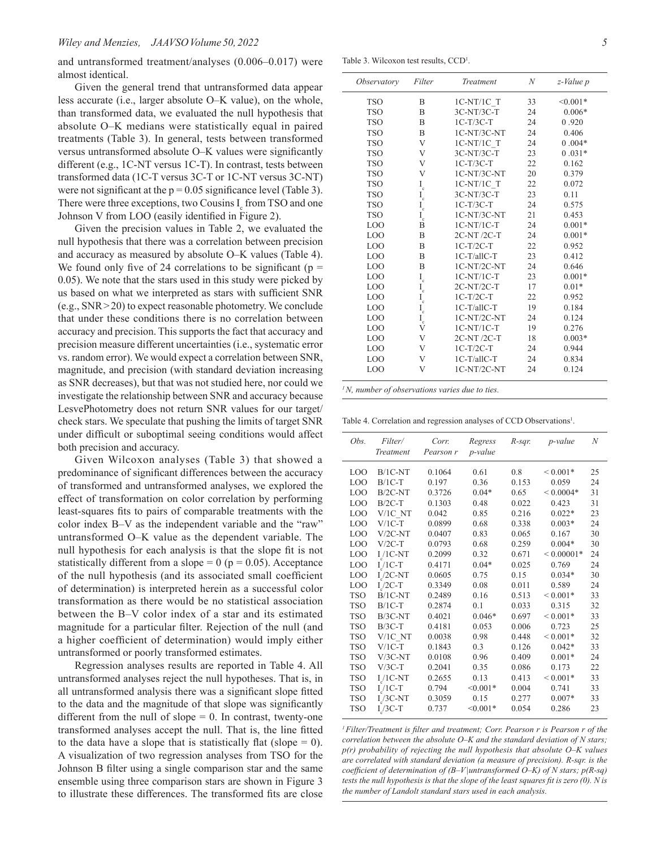and untransformed treatment/analyses (0.006–0.017) were almost identical.

Given the general trend that untransformed data appear less accurate (i.e., larger absolute O–K value), on the whole, than transformed data, we evaluated the null hypothesis that absolute O–K medians were statistically equal in paired treatments (Table 3). In general, tests between transformed versus untransformed absolute O–K values were significantly different (e.g., 1C-NT versus 1C-T). In contrast, tests between transformed data (1C-T versus 3C-T or 1C-NT versus 3C-NT) were not significant at the  $p = 0.05$  significance level (Table 3). There were three exceptions, two Cousins  $I_c$  from TSO and one Johnson V from LOO (easily identified in Figure 2).

Given the precision values in Table 2, we evaluated the null hypothesis that there was a correlation between precision and accuracy as measured by absolute O–K values (Table 4). We found only five of 24 correlations to be significant ( $p =$ 0.05). We note that the stars used in this study were picked by us based on what we interpreted as stars with sufficient SNR (e.g., SNR>20) to expect reasonable photometry. We conclude that under these conditions there is no correlation between accuracy and precision. This supports the fact that accuracy and precision measure different uncertainties (i.e., systematic error vs. random error). We would expect a correlation between SNR, magnitude, and precision (with standard deviation increasing as SNR decreases), but that was not studied here, nor could we investigate the relationship between SNR and accuracy because LesvePhotometry does not return SNR values for our target/ check stars. We speculate that pushing the limits of target SNR under difficult or suboptimal seeing conditions would affect both precision and accuracy.

Given Wilcoxon analyses (Table 3) that showed a predominance of significant differences between the accuracy of transformed and untransformed analyses, we explored the effect of transformation on color correlation by performing least-squares fits to pairs of comparable treatments with the color index B–V as the independent variable and the "raw" untransformed O–K value as the dependent variable. The null hypothesis for each analysis is that the slope fit is not statistically different from a slope  $= 0$  ( $p = 0.05$ ). Acceptance of the null hypothesis (and its associated small coefficient of determination) is interpreted herein as a successful color transformation as there would be no statistical association between the B–V color index of a star and its estimated magnitude for a particular filter. Rejection of the null (and a higher coefficient of determination) would imply either untransformed or poorly transformed estimates.

Regression analyses results are reported in Table 4. All untransformed analyses reject the null hypotheses. That is, in all untransformed analysis there was a significant slope fitted to the data and the magnitude of that slope was significantly different from the null of slope  $= 0$ . In contrast, twenty-one transformed analyses accept the null. That is, the line fitted to the data have a slope that is statistically flat (slope  $= 0$ ). A visualization of two regression analyses from TSO for the Johnson B filter using a single comparison star and the same ensemble using three comparison stars are shown in Figure 3 to illustrate these differences. The transformed fits are close

Table 3. Wilcoxon test results, CCD<sup>1</sup>.

| <i><b>Observatory</b></i> | Filter                     | Treatment    | N  | z-Value p  |  |
|---------------------------|----------------------------|--------------|----|------------|--|
| <b>TSO</b>                | B                          | 1C-NT/1C T   | 33 | $< 0.001*$ |  |
| <b>TSO</b>                | B                          | 3C-NT/3C-T   | 24 | $0.006*$   |  |
| <b>TSO</b>                | B                          | $1C-T/3C-T$  | 24 | 0.920      |  |
| <b>TSO</b>                | B                          | 1C-NT/3C-NT  | 24 | 0.406      |  |
| <b>TSO</b>                | V                          | 1C-NT/1C T   | 24 | $0.004*$   |  |
| <b>TSO</b>                | V                          | 3C-NT/3C-T   | 23 | $0.031*$   |  |
| <b>TSO</b>                | V                          | $1C-T/3C-T$  | 22 | 0.162      |  |
| <b>TSO</b>                | V                          | 1C-NT/3C-NT  | 20 | 0.379      |  |
| <b>TSO</b>                | $\mathcal{I}_{\mathbf{c}}$ | 1C-NT/1C T   | 22 | 0.072      |  |
| <b>TSO</b>                |                            | 3C-NT/3C-T   | 23 | 0.11       |  |
| <b>TSO</b>                | $I_c$ $I_c$                | $1C-T/3C-T$  | 24 | 0.575      |  |
| <b>TSO</b>                | $I_c$                      | 1C-NT/3C-NT  | 21 | 0.453      |  |
| LO <sub>O</sub>           | $\overline{B}$             | $1C-NT/1C-T$ | 24 | $0.001*$   |  |
| LO <sub>O</sub>           | B                          | 2C-NT/2C-T   | 24 | $0.001*$   |  |
| LO <sub>O</sub>           | B                          | $1C-T/2C-T$  | 22 | 0.952      |  |
| LO <sub>O</sub>           | B                          | 1C-T/allC-T  | 23 | 0.412      |  |
| LO <sub>O</sub>           | B                          | 1C-NT/2C-NT  | 24 | 0.646      |  |
| LO <sub>O</sub>           | $\mathcal{I}_{\rm c}$      | $1C-NT/1C-T$ | 23 | $0.001*$   |  |
| LO <sub>O</sub>           | $I_c$                      | $2C-NT/2C-T$ | 17 | $0.01*$    |  |
| LO <sub>O</sub>           | $I_c$                      | $1C-T/2C-T$  | 22 | 0.952      |  |
| LO <sub>O</sub>           | $I_c$                      | 1C-T/allC-T  | 19 | 0.184      |  |
| LO <sub>O</sub>           | $\mathbf{I}_{\rm c}$       | 1C-NT/2C-NT  | 24 | 0.124      |  |
| LO <sub>O</sub>           | V                          | $1C-NT/1C-T$ | 19 | 0.276      |  |
| LO <sub>O</sub>           | V                          | 2C-NT/2C-T   | 18 | $0.003*$   |  |
| LOO                       | V                          | $1C-T/2C-T$  | 24 | 0.944      |  |
| LO <sub>O</sub>           | V                          | 1C-T/allC-T  | 24 | 0.834      |  |
| LO <sub>O</sub>           | V                          | 1C-NT/2C-NT  | 24 | 0.124      |  |
|                           |                            |              |    |            |  |

*1N, number of observations varies due to ties.*

Table 4. Correlation and regression analyses of CCD Observations<sup>1</sup>.

| Obs.            | Filter/<br>Treatment | Corr.<br>Pearson r | Regress<br><i>p</i> -value | $R$ -sqr. | p-value            | $\boldsymbol{N}$ |
|-----------------|----------------------|--------------------|----------------------------|-----------|--------------------|------------------|
| LOO             | $B/1C-NT$            | 0.1064             | 0.61                       | 0.8       | ${}_{\leq 0.001*}$ | 25               |
| LO <sub>O</sub> | $B/1C-T$             | 0.197              | 0.36                       | 0.153     | 0.059              | 24               |
| LO <sub>O</sub> | $B/2C-NT$            | 0.3726             | $0.04*$                    | 0.65      | ${}< 0.0004*$      | 31               |
| LOO             | $B/2C-T$             | 0.1303             | 0.48                       | 0.022     | 0.423              | 31               |
| LO <sub>O</sub> | V/1C NT              | 0.042              | 0.85                       | 0.216     | $0.022*$           | 23               |
| LO <sub>O</sub> | $V/1C-T$             | 0.0899             | 0.68                       | 0.338     | $0.003*$           | 24               |
| LOO             | $V/2C-NT$            | 0.0407             | 0.83                       | 0.065     | 0.167              | 30               |
| LO <sub>O</sub> | $V/2C-T$             | 0.0793             | 0.68                       | 0.259     | $0.004*$           | 30               |
| LO <sub>O</sub> | $I/I$ C-NT           | 0.2099             | 0.32                       | 0.671     | ${}< 0.00001*$     | 24               |
| LO <sub>O</sub> | $I/1C-T$             | 0.4171             | $0.04*$                    | 0.025     | 0.769              | 24               |
| LO <sub>O</sub> | $I/2C-NT$            | 0.0605             | 0.75                       | 0.15      | $0.034*$           | 30               |
| LO <sub>O</sub> | $I/2C-T$             | 0.3349             | 0.08                       | 0.011     | 0.589              | 24               |
| <b>TSO</b>      | $B/1C-NT$            | 0.2489             | 0.16                       | 0.513     | ${}< 0.001*$       | 33               |
| <b>TSO</b>      | $B/1C-T$             | 0.2874             | 0.1                        | 0.033     | 0.315              | 32               |
| <b>TSO</b>      | $B/3C-NT$            | 0.4021             | $0.046*$                   | 0.697     | ${}< 0.001*$       | 33               |
| <b>TSO</b>      | $B/3C-T$             | 0.4181             | 0.053                      | 0.006     | 0.723              | 25               |
| <b>TSO</b>      | V/IC NT              | 0.0038             | 0.98                       | 0.448     | ${}< 0.001*$       | 32               |
| <b>TSO</b>      | $V/1C-T$             | 0.1843             | 0.3                        | 0.126     | $0.042*$           | 33               |
| <b>TSO</b>      | $V/3C-NT$            | 0.0108             | 0.96                       | 0.409     | $0.001*$           | 24               |
| <b>TSO</b>      | $V/3C-T$             | 0.2041             | 0.35                       | 0.086     | 0.173              | 22               |
| <b>TSO</b>      | $I/I$ C-NT           | 0.2655             | 0.13                       | 0.413     | ${}< 0.001*$       | 33               |
| <b>TSO</b>      | $I/1C-T$             | 0.794              | $< 0.001*$                 | 0.004     | 0.741              | 33               |
| <b>TSO</b>      | $I/3C-NT$            | 0.3059             | 0.15                       | 0.277     | $0.007*$           | 33               |
| <b>TSO</b>      | $I/3C-T$             | 0.737              | $< 0.001*$                 | 0.054     | 0.286              | 23               |

*1  Filter/Treatment is filter and treatment; Corr. Pearson r is Pearson r of the correlation between the absolute O–K and the standard deviation of N stars; p(r) probability of rejecting the null hypothesis that absolute O–K values are correlated with standard deviation (a measure of precision). R-sqr. is the coefficient of determination of (B–V|untransformed O–K) of N stars; p(R-sq) tests the null hypothesis is that the slope of the least squares fit is zero (0). N is the number of Landolt standard stars used in each analysis.*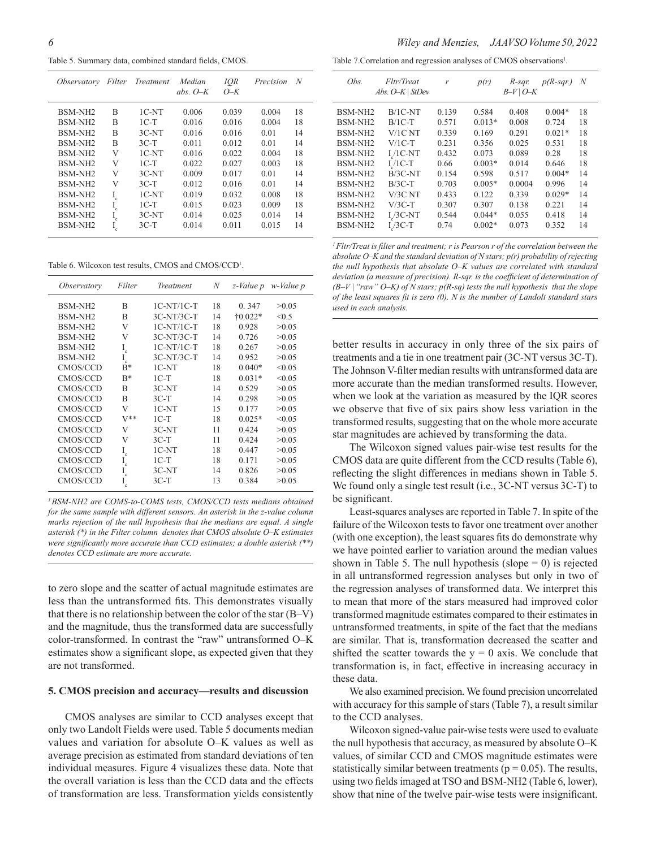Table 5. Summary data, combined standard fields, CMOS.

| <i>Observatory</i>  | Filter      | Treatment | Median<br>abs. $O-K$ | IOR<br>$O-K$ | Precision | N  |
|---------------------|-------------|-----------|----------------------|--------------|-----------|----|
| BSM-NH <sub>2</sub> | R           | $1C-NT$   | 0.006                | 0.039        | 0.004     | 18 |
| BSM-NH <sub>2</sub> | R           | $1C-T$    | 0.016                | 0.016        | 0.004     | 18 |
| BSM-NH <sub>2</sub> | B           | $3C-NT$   | 0.016                | 0.016        | 0.01      | 14 |
| BSM-NH <sub>2</sub> | B           | $3C-T$    | 0.011                | 0.012        | 0.01      | 14 |
| BSM-NH <sub>2</sub> | V           | $1C-NT$   | 0.016                | 0.022        | 0.004     | 18 |
| BSM-NH <sub>2</sub> | V           | $1C-T$    | 0.022                | 0.027        | 0.003     | 18 |
| BSM-NH <sub>2</sub> | V           | $3C-NT$   | 0.009                | 0.017        | 0.01      | 14 |
| BSM-NH <sub>2</sub> | V           | $3C-T$    | 0.012                | 0.016        | 0.01      | 14 |
| BSM-NH <sub>2</sub> | $\rm I_c$   | $1C-NT$   | 0.019                | 0.032        | 0.008     | 18 |
| BSM-NH <sub>2</sub> | I<br>'n.    | $1C-T$    | 0.015                | 0.023        | 0.009     | 18 |
| BSM-NH <sub>2</sub> | I<br>.<br>C | $3C-NT$   | 0.014                | 0.025        | 0.014     | 14 |
| BSM-NH <sub>2</sub> | $I_c$       | $3C-T$    | 0.014                | 0.011        | 0.015     | 14 |

Table 6. Wilcoxon test results, CMOS and CMOS/CCD<sup>1</sup>.

| Observatory         | Filter               | Treatment    | N  | z-Value p        | w-Value p |
|---------------------|----------------------|--------------|----|------------------|-----------|
| BSM-NH <sub>2</sub> | B                    | $1C-NT/1C-T$ | 18 | 0.347            | >0.05     |
| BSM-NH <sub>2</sub> | R                    | $3C-NT/3C-T$ | 14 | $\dagger 0.022*$ | < 0.5     |
| <b>BSM-NH2</b>      | V                    | $1C-NT/1C-T$ | 18 | 0.928            | >0.05     |
| BSM-NH <sub>2</sub> | V                    | $3C-NT/3C-T$ | 14 | 0.726            | >0.05     |
| BSM-NH <sub>2</sub> | $\mathbf{I}_{\rm c}$ | $1C-NT/1C-T$ | 18 | 0.267            | >0.05     |
| BSM-NH <sub>2</sub> | L<br>'n              | $3C-NT/3C-T$ | 14 | 0.952            | >0.05     |
| CMOS/CCD            | $B^*$                | $1C-NT$      | 18 | $0.040*$         | < 0.05    |
| <b>CMOS/CCD</b>     | $R^*$                | $1C-T$       | 18 | $0.031*$         | < 0.05    |
| <b>CMOS/CCD</b>     | B                    | $3C-NT$      | 14 | 0.529            | >0.05     |
| <b>CMOS/CCD</b>     | R                    | $3C-T$       | 14 | 0.298            | >0.05     |
| CMOS/CCD            | V                    | $1C-NT$      | 15 | 0.177            | >0.05     |
| CMOS/CCD            | $V^{**}$             | $1C-T$       | 18 | $0.025*$         | < 0.05    |
| CMOS/CCD            | V                    | $3C-NT$      | 11 | 0.424            | >0.05     |
| <b>CMOS/CCD</b>     | V                    | $3C-T$       | 11 | 0.424            | >0.05     |
| <b>CMOS/CCD</b>     | $\rm I_c$            | 1C-NT        | 18 | 0.447            | >0.05     |
| <b>CMOS/CCD</b>     | $\rm I_c$            | $1C-T$       | 18 | 0.171            | >0.05     |
| CMOS/CCD            | $\rm I_c$            | $3C-NT$      | 14 | 0.826            | >0.05     |
| CMOS/CCD            |                      | $3C-T$       | 13 | 0.384            | >0.05     |

*<sup>1</sup>  BSM-NH2 are COMS-to-COMS tests, CMOS/CCD tests medians obtained for the same sample with different sensors. An asterisk in the z-value column*  marks rejection of the null hypothesis that the medians are equal. A single *asterisk (\*) in the Filter column denotes that CMOS absolute O–K estimates were significantly more accurate than CCD estimates; a double asterisk (\*\*) denotes CCD estimate are more accurate.*

to zero slope and the scatter of actual magnitude estimates are less than the untransformed fits. This demonstrates visually that there is no relationship between the color of the star (B–V) and the magnitude, thus the transformed data are successfully color-transformed. In contrast the "raw" untransformed O–K estimates show a significant slope, as expected given that they are not transformed.

#### **5. CMOS precision and accuracy—results and discussion**

CMOS analyses are similar to CCD analyses except that only two Landolt Fields were used. Table 5 documents median values and variation for absolute O–K values as well as average precision as estimated from standard deviations of ten individual measures. Figure 4 visualizes these data. Note that the overall variation is less than the CCD data and the effects of transformation are less. Transformation yields consistently

Table 7. Correlation and regression analyses of CMOS observations<sup>1</sup>.

| Obs.                | Fltr/Treat<br>Abs. O-K   StDev | r     | p(r)     | R-sar.<br>$B-V$   $O-K$ | $p(R-sqr)$ | N  |
|---------------------|--------------------------------|-------|----------|-------------------------|------------|----|
| BSM-NH <sub>2</sub> | $B/1C-NT$                      | 0.139 | 0.584    | 0.408                   | $0.004*$   | 18 |
| <b>BSM-NH2</b>      | $B/1C-T$                       | 0.571 | $0.013*$ | 0.008                   | 0.724      | 18 |
| BSM-NH <sub>2</sub> | $V/1C$ NT                      | 0.339 | 0.169    | 0.291                   | $0.021*$   | 18 |
| BSM-NH <sub>2</sub> | $V/1C-T$                       | 0.231 | 0.356    | 0.025                   | 0.531      | 18 |
| BSM-NH <sub>2</sub> | $I/I$ C-NT                     | 0.432 | 0.073    | 0.089                   | 0.28       | 18 |
| BSM-NH <sub>2</sub> | $I/I$ C-T                      | 0.66  | $0.003*$ | 0.014                   | 0.646      | 18 |
| <b>BSM-NH2</b>      | $B/3C-NT$                      | 0.154 | 0.598    | 0.517                   | $0.004*$   | 14 |
| BSM-NH <sub>2</sub> | $B/3C-T$                       | 0.703 | $0.005*$ | 0.0004                  | 0.996      | 14 |
| BSM-NH <sub>2</sub> | V/3C NT                        | 0.433 | 0.122    | 0.339                   | $0.029*$   | 14 |
| BSM-NH <sub>2</sub> | $V/3C-T$                       | 0.307 | 0.307    | 0.138                   | 0.221      | 14 |
| <b>BSM-NH2</b>      | $I/3C-NT$                      | 0.544 | $0.044*$ | 0.055                   | 0.418      | 14 |
| BSM-NH <sub>2</sub> | $I/3C-T$                       | 0.74  | $0.002*$ | 0.073                   | 0.352      | 14 |
|                     |                                |       |          |                         |            |    |

*1  Fltr/Treat is filter and treatment; r is Pearson r of the correlation between the absolute O–K and the standard deviation of N stars; p(r) probability of rejecting the null hypothesis that absolute O–K values are correlated with standard deviation (a measure of precision). R-sqr. is the coefficient of determination of (B–V | "raw" O–K) of N stars; p(R-sq) tests the null hypothesis that the slope of the least squares fit is zero (0). N is the number of Landolt standard stars used in each analysis.*

better results in accuracy in only three of the six pairs of treatments and a tie in one treatment pair (3C-NT versus 3C-T). The Johnson V-filter median results with untransformed data are more accurate than the median transformed results. However, when we look at the variation as measured by the IQR scores we observe that five of six pairs show less variation in the transformed results, suggesting that on the whole more accurate star magnitudes are achieved by transforming the data.

The Wilcoxon signed values pair-wise test results for the CMOS data are quite different from the CCD results (Table 6), reflecting the slight differences in medians shown in Table 5. We found only a single test result (i.e., 3C-NT versus 3C-T) to be significant.

Least-squares analyses are reported in Table 7. In spite of the failure of the Wilcoxon tests to favor one treatment over another (with one exception), the least squares fits do demonstrate why we have pointed earlier to variation around the median values shown in Table 5. The null hypothesis (slope  $= 0$ ) is rejected in all untransformed regression analyses but only in two of the regression analyses of transformed data. We interpret this to mean that more of the stars measured had improved color transformed magnitude estimates compared to their estimates in untransformed treatments, in spite of the fact that the medians are similar. That is, transformation decreased the scatter and shifted the scatter towards the  $y = 0$  axis. We conclude that transformation is, in fact, effective in increasing accuracy in these data.

We also examined precision. We found precision uncorrelated with accuracy for this sample of stars (Table 7), a result similar to the CCD analyses.

Wilcoxon signed-value pair-wise tests were used to evaluate the null hypothesis that accuracy, as measured by absolute O–K values, of similar CCD and CMOS magnitude estimates were statistically similar between treatments ( $p = 0.05$ ). The results, using two fields imaged at TSO and BSM-NH2 (Table 6, lower), show that nine of the twelve pair-wise tests were insignificant.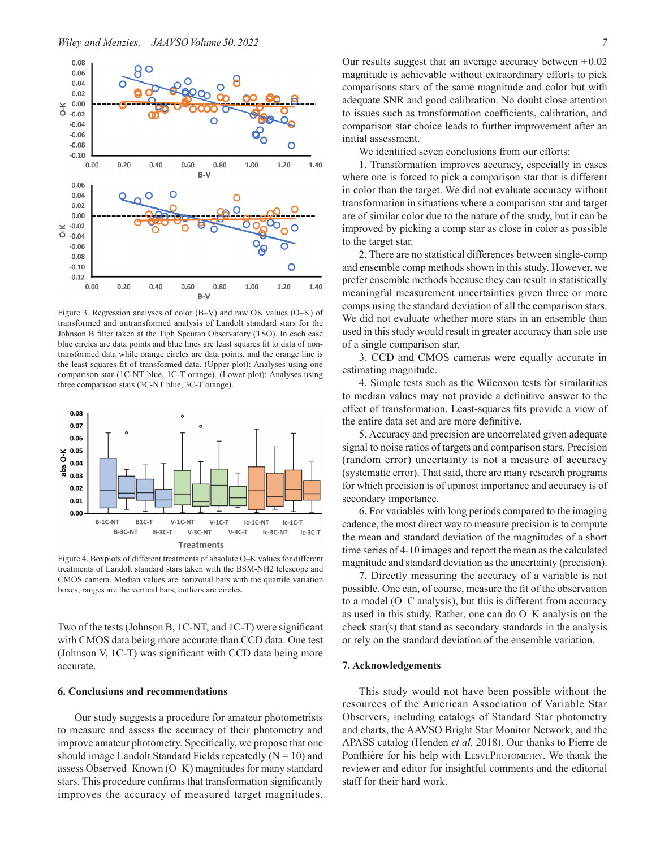

Figure 3. Regression analyses of color (B–V) and raw OK values (O–K) of transformed and untransformed analysis of Landolt standard stars for the Johnson B filter taken at the Tigh Speuran Observatory (TSO). In each case blue circles are data points and blue lines are least squares fit to data of nontransformed data while orange circles are data points, and the orange line is the least squares fit of transformed data. (Upper plot): Analyses using one comparison star (1C-NT blue, 1C-T orange). (Lower plot): Analyses using three comparison stars (3C-NT blue, 3C-T orange).



Figure 4. Boxplots of different treatments of absolute O–K values for different treatments of Landolt standard stars taken with the BSM-NH2 telescope and CMOS camera. Median values are horizonal bars with the quartile variation boxes, ranges are the vertical bars, outliers are circles.

Two of the tests (Johnson B, 1C-NT, and 1C-T) were significant with CMOS data being more accurate than CCD data. One test (Johnson V, 1C-T) was significant with CCD data being more accurate.

#### **6. Conclusions and recommendations**

Our study suggests a procedure for amateur photometrists to measure and assess the accuracy of their photometry and improve amateur photometry. Specifically, we propose that one should image Landolt Standard Fields repeatedly  $(N = 10)$  and assess Observed–Known (O–K) magnitudes for many standard stars. This procedure confirms that transformation significantly improves the accuracy of measured target magnitudes.

We identified seven conclusions from our efforts:

1. Transformation improves accuracy, especially in cases where one is forced to pick a comparison star that is different in color than the target. We did not evaluate accuracy without transformation in situations where a comparison star and target are of similar color due to the nature of the study, but it can be improved by picking a comp star as close in color as possible to the target star.

2. There are no statistical differences between single-comp and ensemble comp methods shown in this study. However, we prefer ensemble methods because they can result in statistically meaningful measurement uncertainties given three or more comps using the standard deviation of all the comparison stars. We did not evaluate whether more stars in an ensemble than used in this study would result in greater accuracy than sole use of a single comparison star.

3. CCD and CMOS cameras were equally accurate in estimating magnitude.

4. Simple tests such as the Wilcoxon tests for similarities to median values may not provide a definitive answer to the effect of transformation. Least-squares fits provide a view of the entire data set and are more definitive.

5. Accuracy and precision are uncorrelated given adequate signal to noise ratios of targets and comparison stars. Precision (random error) uncertainty is not a measure of accuracy (systematic error). That said, there are many research programs for which precision is of upmost importance and accuracy is of secondary importance.

6. For variables with long periods compared to the imaging cadence, the most direct way to measure precision is to compute the mean and standard deviation of the magnitudes of a short time series of 4-10 images and report the mean as the calculated magnitude and standard deviation as the uncertainty (precision).

7. Directly measuring the accuracy of a variable is not possible. One can, of course, measure the fit of the observation to a model (O–C analysis), but this is different from accuracy as used in this study. Rather, one can do O–K analysis on the check star(s) that stand as secondary standards in the analysis or rely on the standard deviation of the ensemble variation.

### **7. Acknowledgements**

This study would not have been possible without the resources of the American Association of Variable Star Observers, including catalogs of Standard Star photometry and charts, the AAVSO Bright Star Monitor Network, and the APASS catalog (Henden *et al.* 2018). Our thanks to Pierre de Ponthière for his help with LESVEPHOTOMETRY. We thank the reviewer and editor for insightful comments and the editorial staff for their hard work.